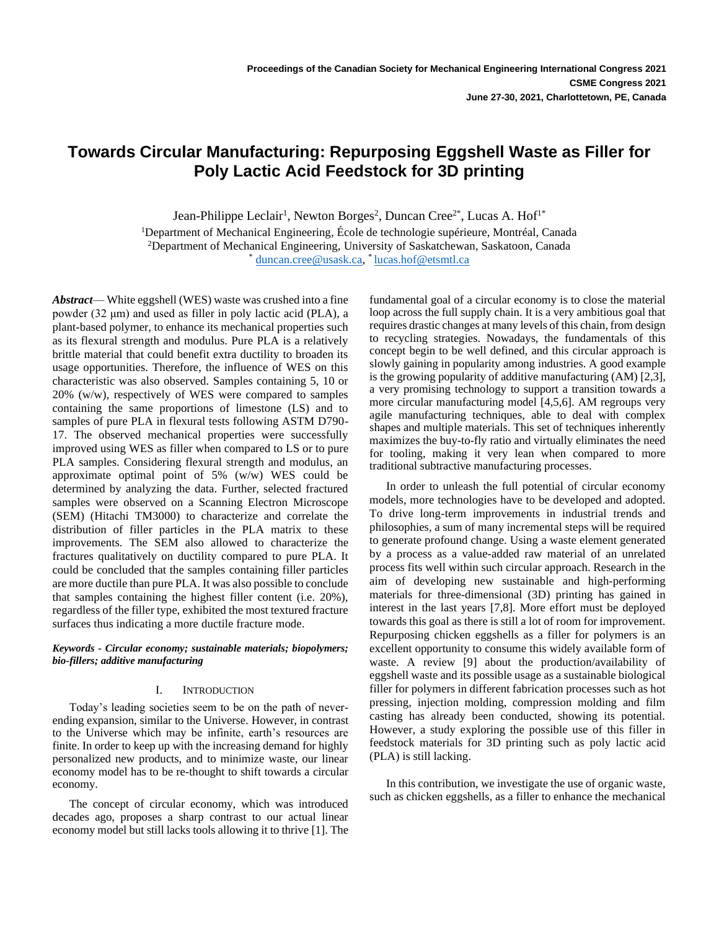# **Towards Circular Manufacturing: Repurposing Eggshell Waste as Filler for Poly Lactic Acid Feedstock for 3D printing**

Jean-Philippe Leclair<sup>1</sup>, Newton Borges<sup>2</sup>, Duncan Cree<sup>2\*</sup>, Lucas A. Hof<sup>1\*</sup> <sup>1</sup>Department of Mechanical Engineering, École de technologie supérieure, Montréal, Canada <sup>2</sup>Department of Mechanical Engineering, University of Saskatchewan, Saskatoon, Canada \* [duncan.cree@usask.ca,](mailto:duncan.cree@usask.ca) \* [lucas.hof@etsmtl.ca](mailto:lucas.hof@etsmtl.ca)

*Abstract*— White eggshell (WES) waste was crushed into a fine powder (32 μm) and used as filler in poly lactic acid (PLA), a plant-based polymer, to enhance its mechanical properties such as its flexural strength and modulus. Pure PLA is a relatively brittle material that could benefit extra ductility to broaden its usage opportunities. Therefore, the influence of WES on this characteristic was also observed. Samples containing 5, 10 or 20% (w/w), respectively of WES were compared to samples containing the same proportions of limestone (LS) and to samples of pure PLA in flexural tests following ASTM D790- 17. The observed mechanical properties were successfully improved using WES as filler when compared to LS or to pure PLA samples. Considering flexural strength and modulus, an approximate optimal point of 5% (w/w) WES could be determined by analyzing the data. Further, selected fractured samples were observed on a Scanning Electron Microscope (SEM) (Hitachi TM3000) to characterize and correlate the distribution of filler particles in the PLA matrix to these improvements. The SEM also allowed to characterize the fractures qualitatively on ductility compared to pure PLA. It could be concluded that the samples containing filler particles are more ductile than pure PLA. It was also possible to conclude that samples containing the highest filler content (i.e. 20%), regardless of the filler type, exhibited the most textured fracture surfaces thus indicating a more ductile fracture mode.

*Keywords - Circular economy; sustainable materials; biopolymers; bio-fillers; additive manufacturing*

# I. INTRODUCTION

Today's leading societies seem to be on the path of neverending expansion, similar to the Universe. However, in contrast to the Universe which may be infinite, earth's resources are finite. In order to keep up with the increasing demand for highly personalized new products, and to minimize waste, our linear economy model has to be re-thought to shift towards a circular economy.

The concept of circular economy, which was introduced decades ago, proposes a sharp contrast to our actual linear economy model but still lacks tools allowing it to thrive [1]. The fundamental goal of a circular economy is to close the material loop across the full supply chain. It is a very ambitious goal that requires drastic changes at many levels of this chain, from design to recycling strategies. Nowadays, the fundamentals of this concept begin to be well defined, and this circular approach is slowly gaining in popularity among industries. A good example is the growing popularity of additive manufacturing (AM) [2,3], a very promising technology to support a transition towards a more circular manufacturing model [4,5,6]. AM regroups very agile manufacturing techniques, able to deal with complex shapes and multiple materials. This set of techniques inherently maximizes the buy-to-fly ratio and virtually eliminates the need for tooling, making it very lean when compared to more traditional subtractive manufacturing processes.

In order to unleash the full potential of circular economy models, more technologies have to be developed and adopted. To drive long-term improvements in industrial trends and philosophies, a sum of many incremental steps will be required to generate profound change. Using a waste element generated by a process as a value-added raw material of an unrelated process fits well within such circular approach. Research in the aim of developing new sustainable and high-performing materials for three-dimensional (3D) printing has gained in interest in the last years [7,8]. More effort must be deployed towards this goal as there is still a lot of room for improvement. Repurposing chicken eggshells as a filler for polymers is an excellent opportunity to consume this widely available form of waste. A review [9] about the production/availability of eggshell waste and its possible usage as a sustainable biological filler for polymers in different fabrication processes such as hot pressing, injection molding, compression molding and film casting has already been conducted, showing its potential. However, a study exploring the possible use of this filler in feedstock materials for 3D printing such as poly lactic acid (PLA) is still lacking.

In this contribution, we investigate the use of organic waste, such as chicken eggshells, as a filler to enhance the mechanical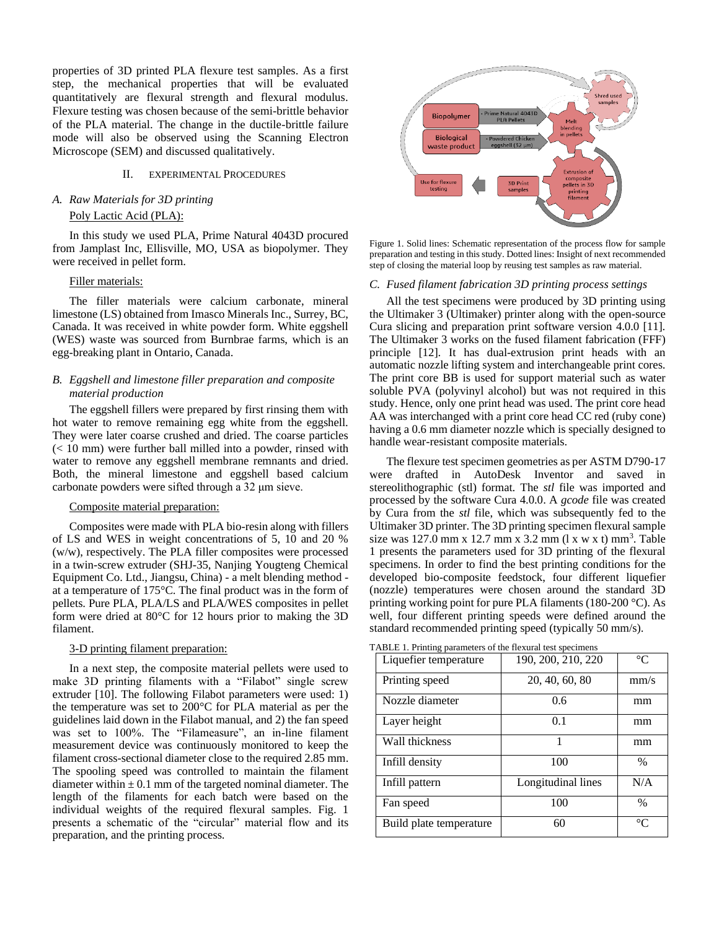properties of 3D printed PLA flexure test samples. As a first step, the mechanical properties that will be evaluated quantitatively are flexural strength and flexural modulus. Flexure testing was chosen because of the semi-brittle behavior of the PLA material. The change in the ductile-brittle failure mode will also be observed using the Scanning Electron Microscope (SEM) and discussed qualitatively.

# II. EXPERIMENTAL PROCEDURES

# *A. Raw Materials for 3D printing* Poly Lactic Acid (PLA):

In this study we used PLA, Prime Natural 4043D procured from Jamplast Inc, Ellisville, MO, USA as biopolymer. They were received in pellet form.

# Filler materials:

The filler materials were calcium carbonate, mineral limestone (LS) obtained from Imasco Minerals Inc., Surrey, BC, Canada. It was received in white powder form. White eggshell (WES) waste was sourced from Burnbrae farms, which is an egg-breaking plant in Ontario, Canada.

# *B. Eggshell and limestone filler preparation and composite material production*

The eggshell fillers were prepared by first rinsing them with hot water to remove remaining egg white from the eggshell. They were later coarse crushed and dried. The coarse particles  $(< 10$  mm) were further ball milled into a powder, rinsed with water to remove any eggshell membrane remnants and dried. Both, the mineral limestone and eggshell based calcium carbonate powders were sifted through a 32 μm sieve.

#### Composite material preparation:

Composites were made with PLA bio-resin along with fillers of LS and WES in weight concentrations of 5, 10 and 20 % (w/w), respectively. The PLA filler composites were processed in a twin-screw extruder (SHJ-35, Nanjing Yougteng Chemical Equipment Co. Ltd., Jiangsu, China) - a melt blending method at a temperature of 175°C. The final product was in the form of pellets. Pure PLA, PLA/LS and PLA/WES composites in pellet form were dried at 80°C for 12 hours prior to making the 3D filament.

#### 3-D printing filament preparation:

In a next step, the composite material pellets were used to make 3D printing filaments with a "Filabot" single screw extruder [10]. The following Filabot parameters were used: 1) the temperature was set to 200°C for PLA material as per the guidelines laid down in the Filabot manual, and 2) the fan speed was set to 100%. The "Filameasure", an in-line filament measurement device was continuously monitored to keep the filament cross-sectional diameter close to the required 2.85 mm. The spooling speed was controlled to maintain the filament diameter within  $\pm$  0.1 mm of the targeted nominal diameter. The length of the filaments for each batch were based on the individual weights of the required flexural samples. Fig. 1 presents a schematic of the "circular" material flow and its preparation, and the printing process.



Figure 1. Solid lines: Schematic representation of the process flow for sample preparation and testing in this study. Dotted lines: Insight of next recommended step of closing the material loop by reusing test samples as raw material.

## *C. Fused filament fabrication 3D printing process settings*

All the test specimens were produced by 3D printing using the Ultimaker 3 (Ultimaker) printer along with the open-source Cura slicing and preparation print software version 4.0.0 [11]. The Ultimaker 3 works on the fused filament fabrication (FFF) principle [12]. It has dual-extrusion print heads with an automatic nozzle lifting system and interchangeable print cores. The print core BB is used for support material such as water soluble PVA (polyvinyl alcohol) but was not required in this study. Hence, only one print head was used. The print core head AA was interchanged with a print core head CC red (ruby cone) having a 0.6 mm diameter nozzle which is specially designed to handle wear-resistant composite materials.

The flexure test specimen geometries as per ASTM D790-17 were drafted in AutoDesk Inventor and saved in stereolithographic (stl) format. The *stl* file was imported and processed by the software Cura 4.0.0. A *gcode* file was created by Cura from the *stl* file, which was subsequently fed to the Ultimaker 3D printer. The 3D printing specimen flexural sample size was  $127.0$  mm x  $12.7$  mm x  $3.2$  mm  $(1 \times w \times t)$  mm<sup>3</sup>. Table 1 presents the parameters used for 3D printing of the flexural specimens. In order to find the best printing conditions for the developed bio-composite feedstock, four different liquefier (nozzle) temperatures were chosen around the standard 3D printing working point for pure PLA filaments (180-200 °C). As well, four different printing speeds were defined around the standard recommended printing speed (typically 50 mm/s).

TABLE 1. Printing parameters of the flexural test specimens

| Liquefier temperature   | 190, 200, 210, 220 | $^{\circ}C$   |
|-------------------------|--------------------|---------------|
| Printing speed          | 20, 40, 60, 80     | mm/s          |
| Nozzle diameter         | 0.6                | mm            |
| Layer height            | 0.1                | mm            |
| Wall thickness          | 1                  | mm            |
| Infill density          | 100                | $\frac{0}{0}$ |
| Infill pattern          | Longitudinal lines | N/A           |
| Fan speed               | 100                | $\frac{0}{0}$ |
| Build plate temperature | 60                 | $^{\circ}C$   |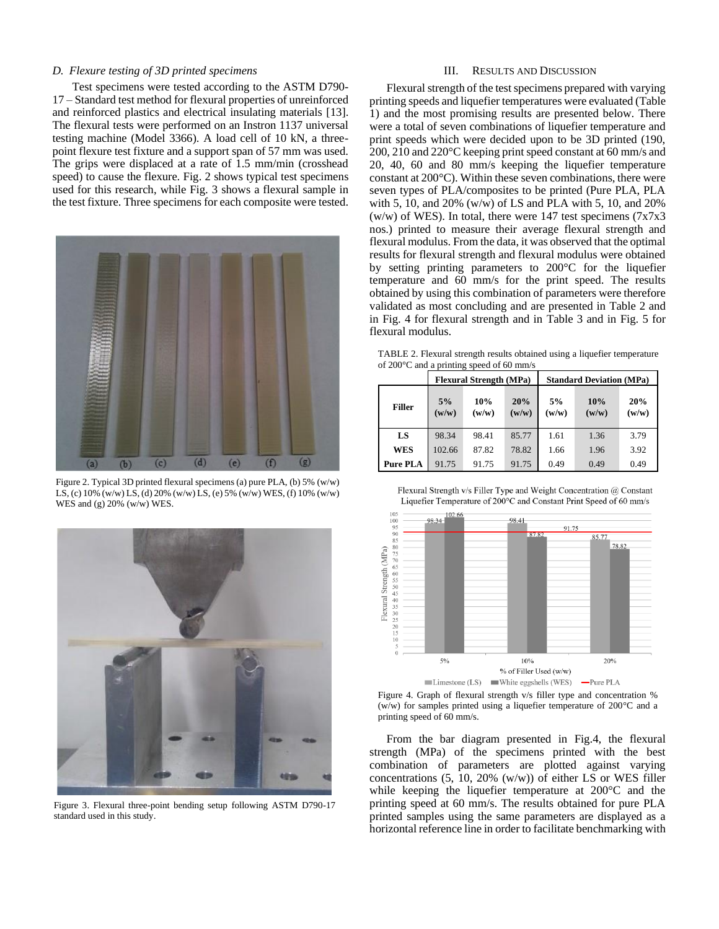# *D. Flexure testing of 3D printed specimens*

Test specimens were tested according to the ASTM D790- 17 – Standard test method for flexural properties of unreinforced and reinforced plastics and electrical insulating materials [13]. The flexural tests were performed on an Instron 1137 universal testing machine (Model 3366). A load cell of 10 kN, a threepoint flexure test fixture and a support span of 57 mm was used. The grips were displaced at a rate of 1.5 mm/min (crosshead speed) to cause the flexure. Fig. 2 shows typical test specimens used for this research, while Fig. 3 shows a flexural sample in the test fixture. Three specimens for each composite were tested.



Figure 2. Typical 3D printed flexural specimens (a) pure PLA, (b) 5% (w/w) LS, (c) 10% (w/w) LS, (d) 20% (w/w) LS, (e) 5% (w/w) WES, (f) 10% (w/w) WES and (g) 20% (w/w) WES.



Figure 3. Flexural three-point bending setup following ASTM D790-17 standard used in this study.

# III. RESULTS AND DISCUSSION

Flexural strength of the test specimens prepared with varying printing speeds and liquefier temperatures were evaluated (Table 1) and the most promising results are presented below. There were a total of seven combinations of liquefier temperature and print speeds which were decided upon to be 3D printed (190, 200, 210 and 220°C keeping print speed constant at 60 mm/s and 20, 40, 60 and 80 mm/s keeping the liquefier temperature constant at 200°C). Within these seven combinations, there were seven types of PLA/composites to be printed (Pure PLA, PLA with 5, 10, and 20% (w/w) of LS and PLA with 5, 10, and 20% (w/w) of WES). In total, there were 147 test specimens  $(7x7x3)$ nos.) printed to measure their average flexural strength and flexural modulus. From the data, it was observed that the optimal results for flexural strength and flexural modulus were obtained by setting printing parameters to 200°C for the liquefier temperature and 60 mm/s for the print speed. The results obtained by using this combination of parameters were therefore validated as most concluding and are presented in Table 2 and in Fig. 4 for flexural strength and in Table 3 and in Fig. 5 for flexural modulus.

TABLE 2. Flexural strength results obtained using a liquefier temperature of 200°C and a printing speed of 60 mm/s

|                 | <b>Flexural Strength (MPa)</b> |              |              | <b>Standard Deviation (MPa)</b> |              |              |
|-----------------|--------------------------------|--------------|--------------|---------------------------------|--------------|--------------|
| <b>Filler</b>   | 5%<br>(w/w)                    | 10%<br>(w/w) | 20%<br>(w/w) | 5%<br>(w/w)                     | 10%<br>(w/w) | 20%<br>(w/w) |
| LS              | 98.34                          | 98.41        | 85.77        | 1.61                            | 1.36         | 3.79         |
| <b>WES</b>      | 102.66                         | 87.82        | 78.82        | 1.66                            | 1.96         | 3.92         |
| <b>Pure PLA</b> | 91.75                          | 91.75        | 91.75        | 0.49                            | 0.49         | 0.49         |





Figure 4. Graph of flexural strength v/s filler type and concentration % (w/w) for samples printed using a liquefier temperature of  $200^{\circ}$ C and a printing speed of 60 mm/s.

From the bar diagram presented in Fig.4, the flexural strength (MPa) of the specimens printed with the best combination of parameters are plotted against varying concentrations  $(5, 10, 20\%$  (w/w)) of either LS or WES filler while keeping the liquefier temperature at 200°C and the printing speed at 60 mm/s. The results obtained for pure PLA printed samples using the same parameters are displayed as a horizontal reference line in order to facilitate benchmarking with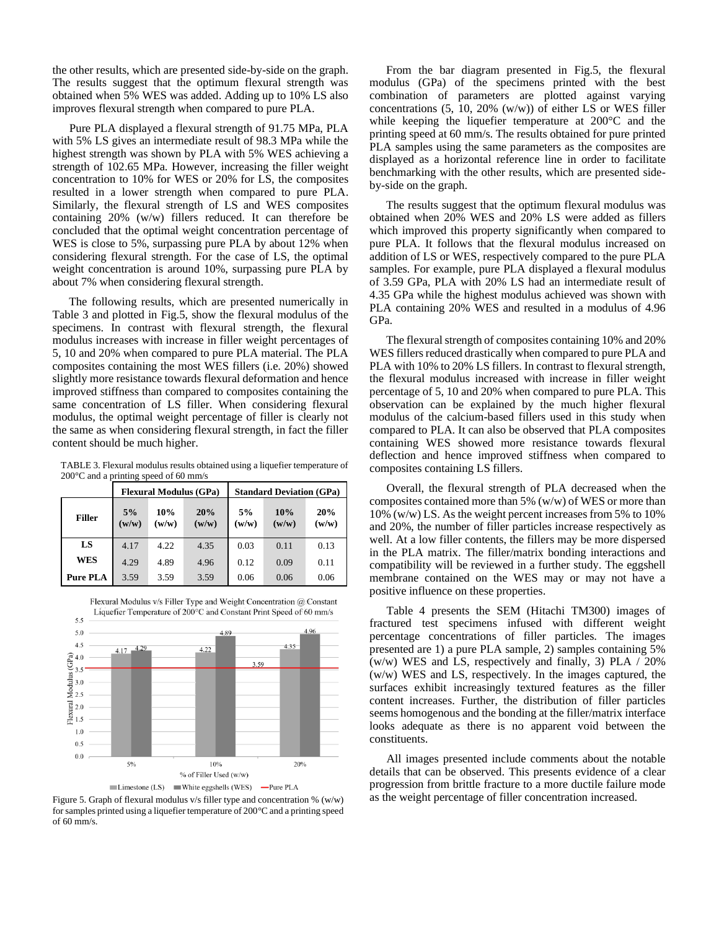the other results, which are presented side-by-side on the graph. The results suggest that the optimum flexural strength was obtained when 5% WES was added. Adding up to 10% LS also improves flexural strength when compared to pure PLA.

Pure PLA displayed a flexural strength of 91.75 MPa, PLA with 5% LS gives an intermediate result of 98.3 MPa while the highest strength was shown by PLA with 5% WES achieving a strength of 102.65 MPa. However, increasing the filler weight concentration to 10% for WES or 20% for LS, the composites resulted in a lower strength when compared to pure PLA. Similarly, the flexural strength of LS and WES composites containing 20% (w/w) fillers reduced. It can therefore be concluded that the optimal weight concentration percentage of WES is close to 5%, surpassing pure PLA by about 12% when considering flexural strength. For the case of LS, the optimal weight concentration is around 10%, surpassing pure PLA by about 7% when considering flexural strength.

The following results, which are presented numerically in Table 3 and plotted in Fig.5, show the flexural modulus of the specimens. In contrast with flexural strength, the flexural modulus increases with increase in filler weight percentages of 5, 10 and 20% when compared to pure PLA material. The PLA composites containing the most WES fillers (i.e. 20%) showed slightly more resistance towards flexural deformation and hence improved stiffness than compared to composites containing the same concentration of LS filler. When considering flexural modulus, the optimal weight percentage of filler is clearly not the same as when considering flexural strength, in fact the filler content should be much higher.

TABLE 3. Flexural modulus results obtained using a liquefier temperature of 200°C and a printing speed of 60 mm/s

|                 | <b>Flexural Modulus (GPa)</b> |              |              | <b>Standard Deviation (GPa)</b> |              |              |
|-----------------|-------------------------------|--------------|--------------|---------------------------------|--------------|--------------|
| <b>Filler</b>   | 5%<br>(w/w)                   | 10%<br>(w/w) | 20%<br>(w/w) | 5%<br>(w/w)                     | 10%<br>(w/w) | 20%<br>(w/w) |
| LS              | 4.17                          | 4.22         | 4.35         | 0.03                            | 0.11         | 0.13         |
| <b>WES</b>      | 4.29                          | 4.89         | 4.96         | 0.12                            | 0.09         | 0.11         |
| <b>Pure PLA</b> | 3.59                          | 3.59         | 3.59         | 0.06                            | 0.06         | 0.06         |



Flexural Modulus v/s Filler Type and Weight Concentration @ Constant Liquefier Temperature of 200°C and Constant Print Speed of 60 mm/s

Figure 5. Graph of flexural modulus v/s filler type and concentration % (w/w) for samples printed using a liquefier temperature of 200°C and a printing speed of 60 mm/s.

From the bar diagram presented in Fig.5, the flexural modulus (GPa) of the specimens printed with the best combination of parameters are plotted against varying concentrations (5, 10, 20% (w/w)) of either LS or WES filler while keeping the liquefier temperature at 200°C and the printing speed at 60 mm/s. The results obtained for pure printed PLA samples using the same parameters as the composites are displayed as a horizontal reference line in order to facilitate benchmarking with the other results, which are presented sideby-side on the graph.

The results suggest that the optimum flexural modulus was obtained when 20% WES and 20% LS were added as fillers which improved this property significantly when compared to pure PLA. It follows that the flexural modulus increased on addition of LS or WES, respectively compared to the pure PLA samples. For example, pure PLA displayed a flexural modulus of 3.59 GPa, PLA with 20% LS had an intermediate result of 4.35 GPa while the highest modulus achieved was shown with PLA containing 20% WES and resulted in a modulus of 4.96 GPa.

The flexural strength of composites containing 10% and 20% WES fillers reduced drastically when compared to pure PLA and PLA with 10% to 20% LS fillers. In contrast to flexural strength, the flexural modulus increased with increase in filler weight percentage of 5, 10 and 20% when compared to pure PLA. This observation can be explained by the much higher flexural modulus of the calcium-based fillers used in this study when compared to PLA. It can also be observed that PLA composites containing WES showed more resistance towards flexural deflection and hence improved stiffness when compared to composites containing LS fillers.

Overall, the flexural strength of PLA decreased when the composites contained more than 5% (w/w) of WES or more than 10% (w/w) LS. As the weight percent increases from 5% to 10% and 20%, the number of filler particles increase respectively as well. At a low filler contents, the fillers may be more dispersed in the PLA matrix. The filler/matrix bonding interactions and compatibility will be reviewed in a further study. The eggshell membrane contained on the WES may or may not have a positive influence on these properties.

Table 4 presents the SEM (Hitachi TM300) images of fractured test specimens infused with different weight percentage concentrations of filler particles. The images presented are 1) a pure PLA sample, 2) samples containing 5% (w/w) WES and LS, respectively and finally, 3) PLA / 20% (w/w) WES and LS, respectively. In the images captured, the surfaces exhibit increasingly textured features as the filler content increases. Further, the distribution of filler particles seems homogenous and the bonding at the filler/matrix interface looks adequate as there is no apparent void between the constituents.

All images presented include comments about the notable details that can be observed. This presents evidence of a clear progression from brittle fracture to a more ductile failure mode as the weight percentage of filler concentration increased.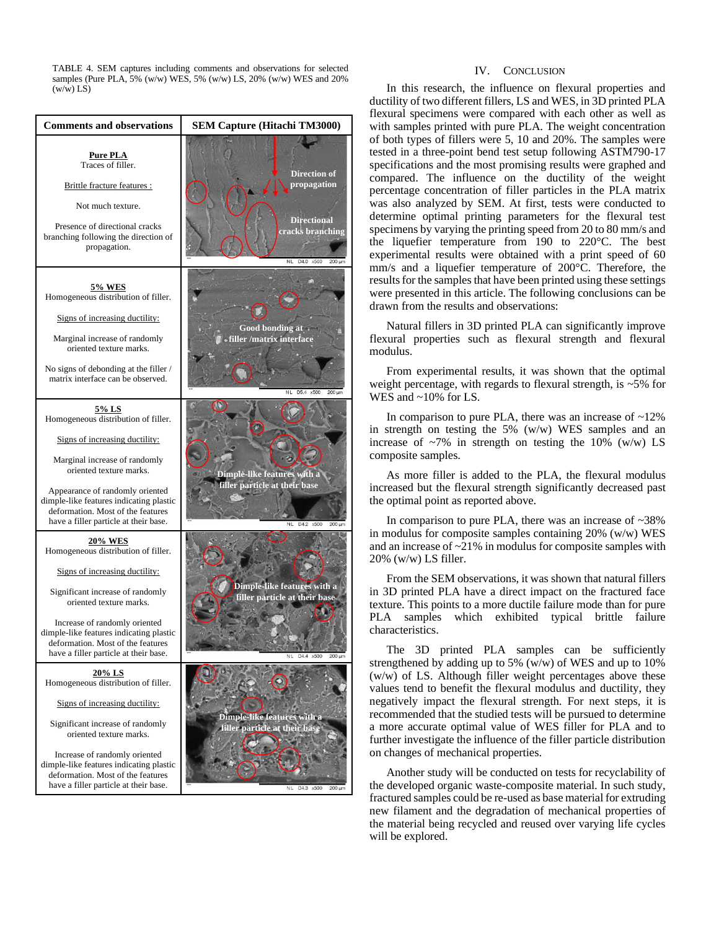TABLE 4. SEM captures including comments and observations for selected samples (Pure PLA, 5% (w/w) WES, 5% (w/w) LS, 20% (w/w) WES and 20%  $(w/w)$  LS)



# IV. CONCLUSION

In this research, the influence on flexural properties and ductility of two different fillers, LS and WES, in 3D printed PLA flexural specimens were compared with each other as well as with samples printed with pure PLA. The weight concentration of both types of fillers were 5, 10 and 20%. The samples were tested in a three-point bend test setup following ASTM790-17 specifications and the most promising results were graphed and compared. The influence on the ductility of the weight percentage concentration of filler particles in the PLA matrix was also analyzed by SEM. At first, tests were conducted to determine optimal printing parameters for the flexural test specimens by varying the printing speed from 20 to 80 mm/s and the liquefier temperature from 190 to 220°C. The best experimental results were obtained with a print speed of 60 mm/s and a liquefier temperature of 200°C. Therefore, the results for the samples that have been printed using these settings were presented in this article. The following conclusions can be drawn from the results and observations:

Natural fillers in 3D printed PLA can significantly improve flexural properties such as flexural strength and flexural modulus.

From experimental results, it was shown that the optimal weight percentage, with regards to flexural strength, is  $\sim$  5% for WES and ~10% for LS.

In comparison to pure PLA, there was an increase of  $~12\%$ in strength on testing the 5% (w/w) WES samples and an increase of  $\sim$ 7% in strength on testing the 10% (w/w) LS composite samples.

As more filler is added to the PLA, the flexural modulus increased but the flexural strength significantly decreased past the optimal point as reported above.

In comparison to pure PLA, there was an increase of ~38% in modulus for composite samples containing 20% (w/w) WES and an increase of ~21% in modulus for composite samples with 20% (w/w) LS filler.

From the SEM observations, it was shown that natural fillers in 3D printed PLA have a direct impact on the fractured face texture. This points to a more ductile failure mode than for pure PLA samples which exhibited typical brittle failure characteristics.

The 3D printed PLA samples can be sufficiently strengthened by adding up to 5% (w/w) of WES and up to 10% (w/w) of LS. Although filler weight percentages above these values tend to benefit the flexural modulus and ductility, they negatively impact the flexural strength. For next steps, it is recommended that the studied tests will be pursued to determine a more accurate optimal value of WES filler for PLA and to further investigate the influence of the filler particle distribution on changes of mechanical properties.

Another study will be conducted on tests for recyclability of the developed organic waste-composite material. In such study, fractured samples could be re-used as base material for extruding new filament and the degradation of mechanical properties of the material being recycled and reused over varying life cycles will be explored.